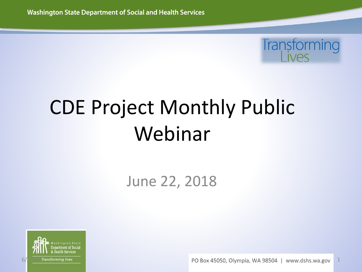

## CDE Project Monthly Public Webinar

#### June 22, 2018



 $\frac{6}{22}/\frac{18}{18}$  Transforming lives and the set of the set of the set of the Second PO Box 45050, Olympia, WA 98504 | www.dshs.wa.gov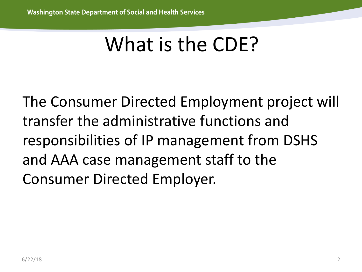## What is the CDE?

The Consumer Directed Employment project will transfer the administrative functions and responsibilities of IP management from DSHS and AAA case management staff to the Consumer Directed Employer.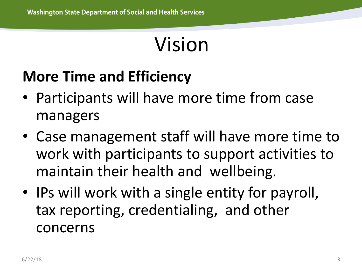### Vision

#### **More Time and Efficiency**

- Participants will have more time from case managers
- Case management staff will have more time to work with participants to support activities to maintain their health and wellbeing.
- IPs will work with a single entity for payroll, tax reporting, credentialing, and other concerns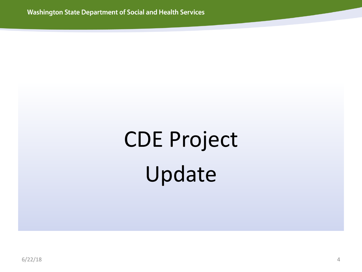# CDE Project Update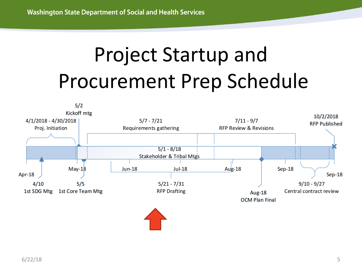## Project Startup and Procurement Prep Schedule

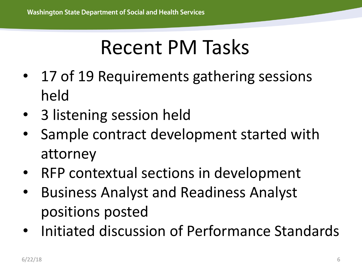## Recent PM Tasks

- 17 of 19 Requirements gathering sessions held
- 3 listening session held
- Sample contract development started with attorney
- RFP contextual sections in development
- Business Analyst and Readiness Analyst positions posted
- Initiated discussion of Performance Standards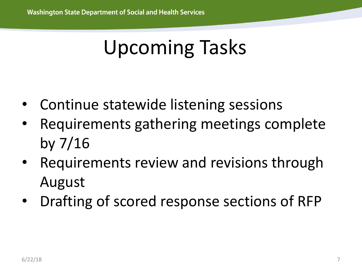## Upcoming Tasks

- Continue statewide listening sessions
- Requirements gathering meetings complete by 7/16
- Requirements review and revisions through August
- Drafting of scored response sections of RFP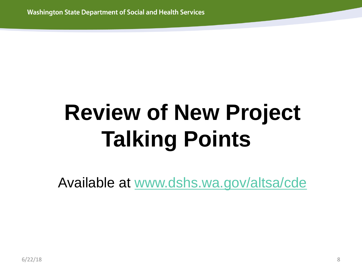# **Review of New Project Talking Points**

Available at [www.dshs.wa.gov/altsa/cde](http://www.dshs.wa.gov/altsa/cde)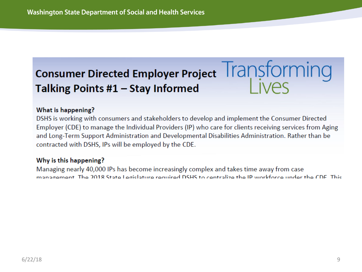#### Consumer Directed Employer Project Transforming Talking Points #1 - Stay Informed

#### What is happening?

DSHS is working with consumers and stakeholders to develop and implement the Consumer Directed Employer (CDE) to manage the Individual Providers (IP) who care for clients receiving services from Aging and Long-Term Support Administration and Developmental Disabilities Administration. Rather than be contracted with DSHS, IPs will be employed by the CDE.

#### Why is this happening?

Managing nearly 40,000 IPs has become increasingly complex and takes time away from case management. The 2018 State Legislature required DSHS to centralize the IP workforce under the CDE. This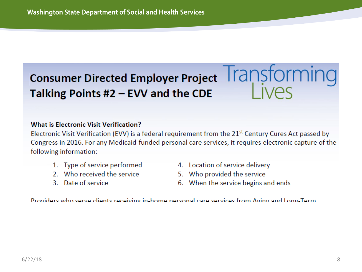#### **Consumer Directed Employer Project Transforming** Talking Points #2 - EVV and the CDE

#### What is Electronic Visit Verification?

Electronic Visit Verification (EVV) is a federal requirement from the 21<sup>st</sup> Century Cures Act passed by Congress in 2016. For any Medicaid-funded personal care services, it requires electronic capture of the following information:

- 1. Type of service performed
- 2. Who received the service
- 3. Date of service
- 4. Location of service delivery
- 5. Who provided the service
- 6. When the service begins and ends

Providers who serve clients receiving in-home nersonal care services from Aging and Long-Term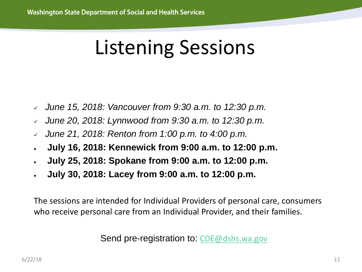#### Listening Sessions

- *June 15, 2018: Vancouver from 9:30 a.m. to 12:30 p.m.*
- *June 20, 2018: Lynnwood from 9:30 a.m. to 12:30 p.m.*
- *June 21, 2018: Renton from 1:00 p.m. to 4:00 p.m.*
- **July 16, 2018: Kennewick from 9:00 a.m. to 12:00 p.m.**
- **July 25, 2018: Spokane from 9:00 a.m. to 12:00 p.m.**
- **July 30, 2018: Lacey from 9:00 a.m. to 12:00 p.m.**

The sessions are intended for Individual Providers of personal care, consumers who receive personal care from an Individual Provider, and their families.

Send pre-registration to: [CDE@dshs.wa.gov](mailto:CDE@dshs.wa.gov)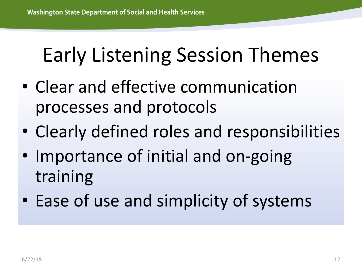### Early Listening Session Themes

- Clear and effective communication processes and protocols
- Clearly defined roles and responsibilities
- Importance of initial and on-going training
- Ease of use and simplicity of systems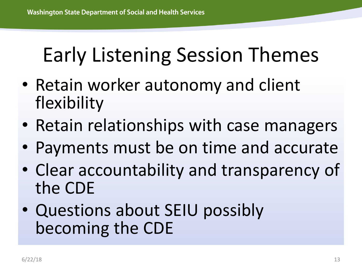## Early Listening Session Themes

- Retain worker autonomy and client flexibility
- Retain relationships with case managers
- Payments must be on time and accurate
- Clear accountability and transparency of the CDE
- Questions about SEIU possibly becoming the CDE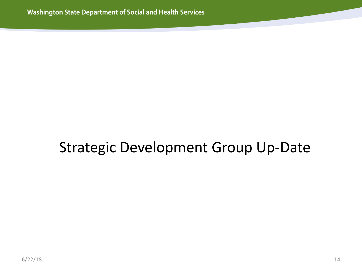#### Strategic Development Group Up-Date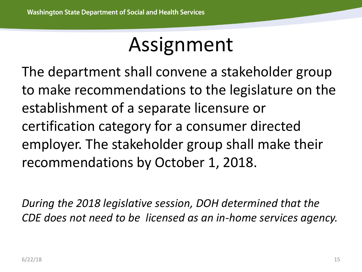#### Assignment

The department shall convene a stakeholder group to make recommendations to the legislature on the establishment of a separate licensure or certification category for a consumer directed employer. The stakeholder group shall make their recommendations by October 1, 2018.

*During the 2018 legislative session, DOH determined that the CDE does not need to be licensed as an in-home services agency.*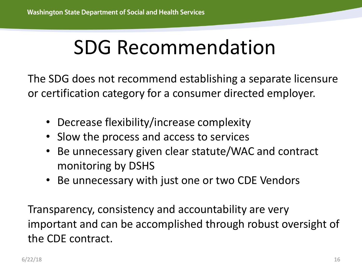## SDG Recommendation

The SDG does not recommend establishing a separate licensure or certification category for a consumer directed employer.

- Decrease flexibility/increase complexity
- Slow the process and access to services
- Be unnecessary given clear statute/WAC and contract monitoring by DSHS
- Be unnecessary with just one or two CDE Vendors

Transparency, consistency and accountability are very important and can be accomplished through robust oversight of the CDE contract.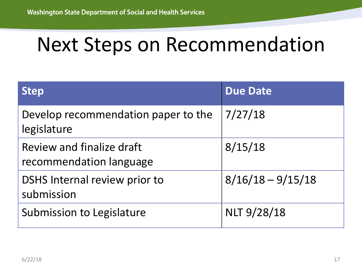#### Next Steps on Recommendation

| <b>Step</b>                                          | <b>Due Date</b>     |
|------------------------------------------------------|---------------------|
| Develop recommendation paper to the<br>legislature   | 7/27/18             |
| Review and finalize draft<br>recommendation language | 8/15/18             |
| DSHS Internal review prior to<br>submission          | $8/16/18 - 9/15/18$ |
| Submission to Legislature                            | <b>NLT 9/28/18</b>  |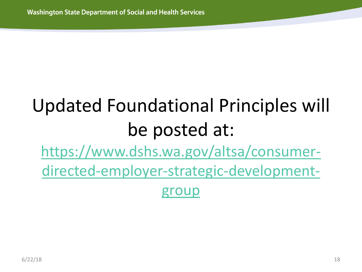#### Updated Foundational Principles will be posted at: https://www.dshs.wa.gov/altsa/consumer[directed-employer-strategic-development](https://www.dshs.wa.gov/altsa/consumer-directed-employer-strategic-development-group)group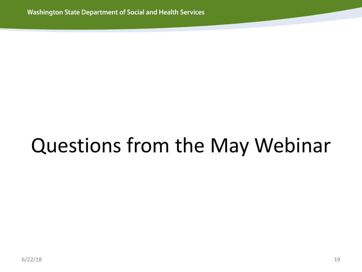## Questions from the May Webinar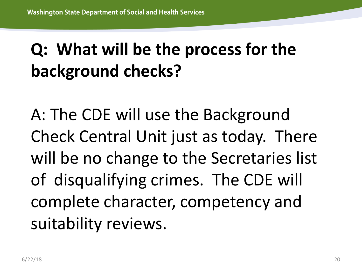#### **Q: What will be the process for the background checks?**

A: The CDE will use the Background Check Central Unit just as today. There will be no change to the Secretaries list of disqualifying crimes. The CDE will complete character, competency and suitability reviews.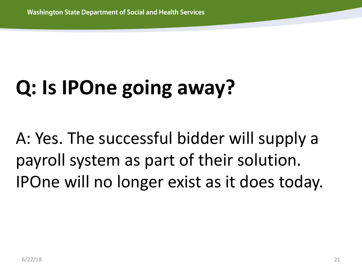# **Q: Is IPOne going away?**

A: Yes. The successful bidder will supply a payroll system as part of their solution. IPOne will no longer exist as it does today.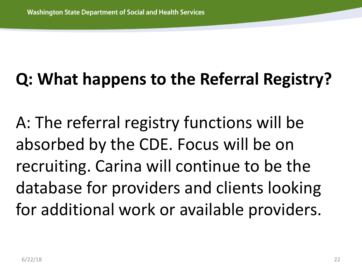#### **Q: What happens to the Referral Registry?**

A: The referral registry functions will be absorbed by the CDE. Focus will be on recruiting. Carina will continue to be the database for providers and clients looking for additional work or available providers.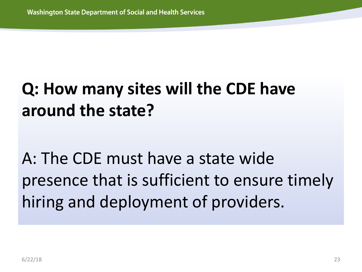#### **Q: How many sites will the CDE have around the state?**

A: The CDE must have a state wide presence that is sufficient to ensure timely hiring and deployment of providers.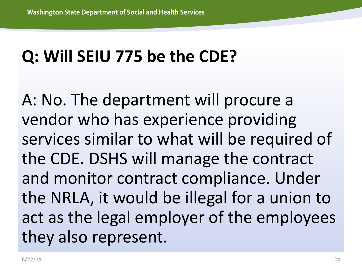#### **Q: Will SEIU 775 be the CDE?**

A: No. The department will procure a vendor who has experience providing services similar to what will be required of the CDE. DSHS will manage the contract and monitor contract compliance. Under the NRLA, it would be illegal for a union to act as the legal employer of the employees they also represent.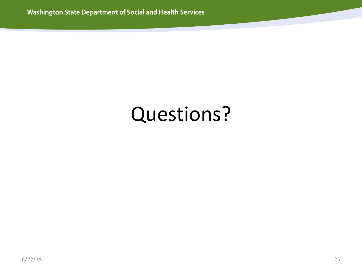#### Questions?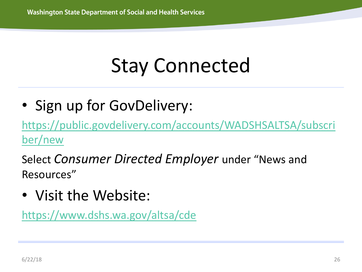## Stay Connected

• Sign up for GovDelivery:

[https://public.govdelivery.com/accounts/WADSHSALTSA/subscri](https://public.govdelivery.com/accounts/WADSHSALTSA/subscriber/new) ber/new

Select *Consumer Directed Employer* under "News and Resources"

• Visit the Website:

<https://www.dshs.wa.gov/altsa/cde>